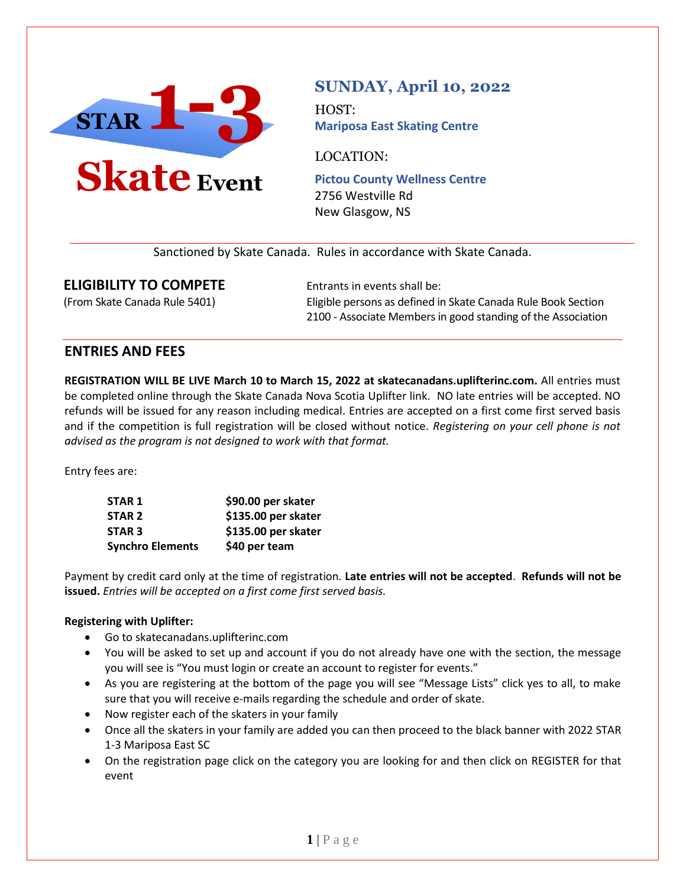

# **SUNDAY, April 10, 2022**

HOST: **Mariposa East Skating Centre**

LOCATION:

**Pictou County Wellness Centre** 2756 Westville Rd New Glasgow, NS

Sanctioned by Skate Canada. Rules in accordance with Skate Canada.

### **ELIGIBILITY TO COMPETE** Entrants in events shall be:

(From Skate Canada Rule 5401) Eligible persons as defined in Skate Canada Rule Book Section 2100 - Associate Members in good standing of the Association

### **ENTRIES AND FEES**

**REGISTRATION WILL BE LIVE March 10 to March 15, 2022 at skatecanadans.uplifterinc.com.** All entries must be completed online through the Skate Canada Nova Scotia Uplifter link. NO late entries will be accepted. NO refunds will be issued for any reason including medical. Entries are accepted on a first come first served basis and if the competition is full registration will be closed without notice. *Registering on your cell phone is not advised as the program is not designed to work with that format.*

Entry fees are:

| STAR 1                  | \$90.00 per skater  |
|-------------------------|---------------------|
| STAR <sub>2</sub>       | \$135.00 per skater |
| STAR <sub>3</sub>       | \$135.00 per skater |
| <b>Synchro Elements</b> | \$40 per team       |

Payment by credit card only at the time of registration. **Late entries will not be accepted**. **Refunds will not be issued.** *Entries will be accepted on a first come first served basis.*

#### **Registering with Uplifter:**

- Go to skatecanadans.uplifterinc.com
- You will be asked to set up and account if you do not already have one with the section, the message you will see is "You must login or create an account to register for events."
- As you are registering at the bottom of the page you will see "Message Lists" click yes to all, to make sure that you will receive e-mails regarding the schedule and order of skate.
- Now register each of the skaters in your family
- Once all the skaters in your family are added you can then proceed to the black banner with 2022 STAR 1-3 Mariposa East SC
- On the registration page click on the category you are looking for and then click on REGISTER for that event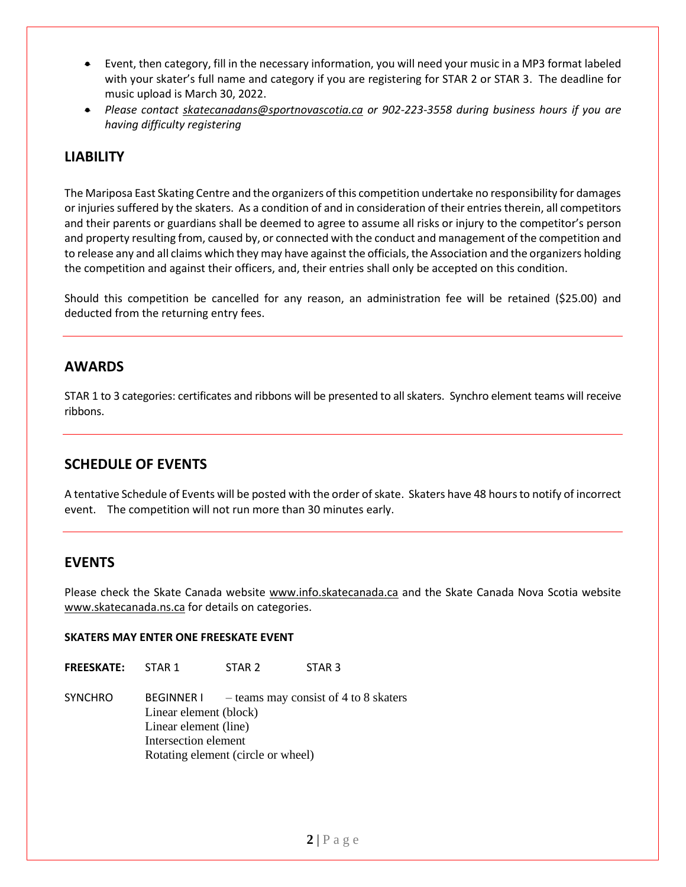- Event, then category, fill in the necessary information, you will need your music in a MP3 format labeled with your skater's full name and category if you are registering for STAR 2 or STAR 3. The deadline for music upload is March 30, 2022.
- *Please contact [skatecanadans@sportnovascotia.ca](mailto:skatecanadans@sportnovascotia.ca) or 902-223-3558 during business hours if you are having difficulty registering*

## **LIABILITY**

The Mariposa East Skating Centre and the organizers of this competition undertake no responsibility for damages or injuries suffered by the skaters. As a condition of and in consideration of their entries therein, all competitors and their parents or guardians shall be deemed to agree to assume all risks or injury to the competitor's person and property resulting from, caused by, or connected with the conduct and management of the competition and to release any and all claims which they may have against the officials, the Association and the organizers holding the competition and against their officers, and, their entries shall only be accepted on this condition.

Should this competition be cancelled for any reason, an administration fee will be retained (\$25.00) and deducted from the returning entry fees.

### **AWARDS**

STAR 1 to 3 categories: certificates and ribbons will be presented to all skaters. Synchro element teams will receive ribbons.

### **SCHEDULE OF EVENTS**

A tentative Schedule of Events will be posted with the order of skate. Skaters have 48 hours to notify of incorrect event. The competition will not run more than 30 minutes early.

#### **EVENTS**

Please check the Skate Canada website [www.info.skatecanada.ca](http://www.info.skatecanada.ca/) and the Skate Canada Nova Scotia website [www.skatecanada.ns.ca](http://www.skatecanada.ns.ca/) for details on categories.

#### **SKATERS MAY ENTER ONE FREESKATE EVENT**

**FREESKATE:** STAR 1 STAR 2 STAR 3

SYNCHRO BEGINNER I – teams may consist of 4 to 8 skaters Linear element (block) Linear element (line) Intersection element Rotating element (circle or wheel)